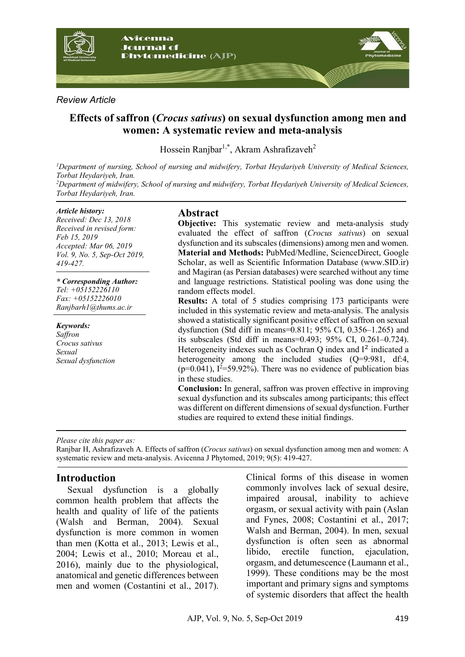

### *Review Article*

# **Effects of saffron (***Crocus sativus***) on sexual dysfunction among men and women: A systematic review and meta-analysis**

Hossein Ranjbar<sup>1,\*</sup>, Akram Ashrafizaveh<sup>2</sup>

*1 Department of nursing, School of nursing and midwifery, Torbat Heydariyeh University of Medical Sciences, Torbat Heydariyeh, Iran.* <sup>2</sup>Department of midwifery, School of nursing and midwifery, Torbat Heydariyeh University of Medical Sciences, *Torbat Heydariyeh, Iran.*

#### *Article history:*

*Received: Dec 13, 2018 Received in revised form: Feb 15, 2019 Accepted: Mar 06, 2019 Vol. 9, No. 5, Sep-Oct 2019, 419-427.*

*\* Corresponding Author: Tel: +05152226110 Fax: +05152226010 Ranjbarh1@thums.ac.ir*

*Keywords: Saffron Crocus sativus Sexual Sexual dysfunction*

### **Abstract**

**Objective:** This systematic review and meta-analysis study evaluated the effect of saffron (*Crocus sativus*) on sexual dysfunction and its subscales (dimensions) among men and women. **Material and Methods:** PubMed/Medline, ScienceDirect, Google Scholar, as well as Scientific Information Database (www.SID.ir) and Magiran (as Persian databases) were searched without any time and language restrictions. Statistical pooling was done using the random effects model.

**Results:** A total of 5 studies comprising 173 participants were included in this systematic review and meta-analysis. The analysis showed a statistically significant positive effect of saffron on sexual dysfunction (Std diff in means= $0.811$ ; 95% CI, 0.356–1.265) and its subscales (Std diff in means=0.493; 95% CI, 0.261–0.724). Heterogeneity indexes such as Cochran Q index and  $I^2$  indicated a heterogeneity among the included studies (Q=9:981, df:4,  $(p=0.041)$ ,  $I^2=59.92\%$ ). There was no evidence of publication bias in these studies.

**Conclusion:** In general, saffron was proven effective in improving sexual dysfunction and its subscales among participants; this effect was different on different dimensions of sexual dysfunction. Further studies are required to extend these initial findings.

*Please cite this paper as:* 

Ranjbar H, Ashrafizaveh A. Effects of saffron (*Crocus sativus*) on sexual dysfunction among men and women: A systematic review and meta-analysis. Avicenna J Phytomed, 2019; 9(5): 419-427.

### **Introduction**

Sexual dysfunction is a globally common health problem that affects the health and quality of life of the patients (Walsh and Berman, 2004). Sexual dysfunction is more common in women than men (Kotta et al., 2013; Lewis et al., 2004; Lewis et al., 2010; Moreau et al., 2016), mainly due to the physiological, anatomical and genetic differences between men and women (Costantini et al., 2017).

Clinical forms of this disease in women commonly involves lack of sexual desire, impaired arousal, inability to achieve orgasm, or sexual activity with pain (Aslan and Fynes, 2008; Costantini et al., 2017; Walsh and Berman, 2004). In men, sexual dysfunction is often seen as abnormal libido, erectile function, ejaculation, orgasm, and detumescence (Laumann et al., 1999). These conditions may be the most important and primary signs and symptoms of systemic disorders that affect the health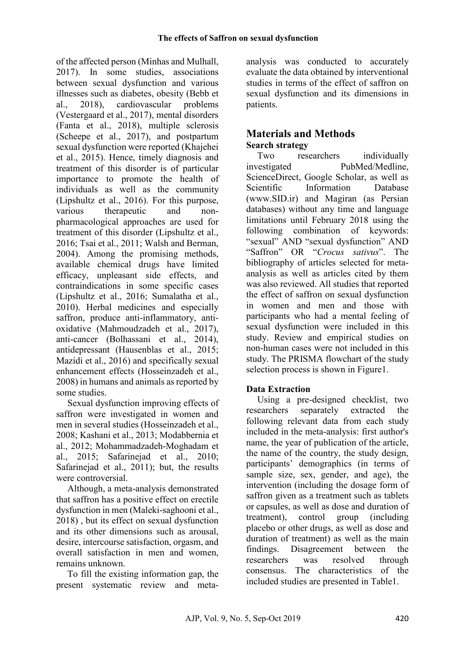of the affected person (Minhas and Mulhall, 2017). In some studies, associations between sexual dysfunction and various illnesses such as diabetes, obesity (Bebb et al., 2018), cardiovascular problems (Vestergaard et al., 2017), mental disorders (Fanta et al., 2018), multiple sclerosis (Scheepe et al., 2017), and postpartum sexual dysfunction were reported (Khajehei et al., 2015). Hence, timely diagnosis and treatment of this disorder is of particular importance to promote the health of individuals as well as the community (Lipshultz et al., 2016). For this purpose, various therapeutic and nonpharmacological approaches are used for treatment of this disorder (Lipshultz et al., 2016; Tsai et al., 2011; Walsh and Berman, 2004). Among the promising methods, available chemical drugs have limited efficacy, unpleasant side effects, and contraindications in some specific cases (Lipshultz et al., 2016; Sumalatha et al., 2010). Herbal medicines and especially saffron, produce anti-inflammatory, antioxidative (Mahmoudzadeh et al., 2017), anti-cancer (Bolhassani et al., 2014), antidepressant (Hausenblas et al., 2015; Mazidi et al., 2016) and specifically sexual enhancement effects (Hosseinzadeh et al., 2008) in humans and animals as reported by some studies.

Sexual dysfunction improving effects of saffron were investigated in women and men in several studies (Hosseinzadeh et al., 2008; Kashani et al., 2013; Modabbernia et al., 2012; Mohammadzadeh-Moghadam et al., 2015; Safarinejad et al., 2010; Safarinejad et al., 2011); but, the results were controversial.

Although, a meta-analysis demonstrated that saffron has a positive effect on erectile dysfunction in men (Maleki-saghooni et al., 2018) , but its effect on sexual dysfunction and its other dimensions such as arousal, desire, intercourse satisfaction, orgasm, and overall satisfaction in men and women, remains unknown.

To fill the existing information gap, the present systematic review and meta-

analysis was conducted to accurately evaluate the data obtained by interventional studies in terms of the effect of saffron on sexual dysfunction and its dimensions in patients.

## **Materials and Methods Search strategy**

Two researchers individually investigated PubMed/Medline, ScienceDirect, Google Scholar, as well as Scientific Information Database (www.SID.ir) and Magiran (as Persian databases) without any time and language limitations until February 2018 using the following combination of keywords: "sexual" AND "sexual dysfunction" AND "Saffron" OR "*Crocus sativus*". The bibliography of articles selected for metaanalysis as well as articles cited by them was also reviewed. All studies that reported the effect of saffron on sexual dysfunction in women and men and those with participants who had a mental feeling of sexual dysfunction were included in this study. Review and empirical studies on non-human cases were not included in this study. The PRISMA flowchart of the study selection process is shown in Figure1.

# **Data Extraction**

Using a pre-designed checklist, two researchers separately extracted the following relevant data from each study included in the meta-analysis: first author's name, the year of publication of the article, the name of the country, the study design, participants' demographics (in terms of sample size, sex, gender, and age), the intervention (including the dosage form of saffron given as a treatment such as tablets or capsules, as well as dose and duration of treatment), control group (including placebo or other drugs, as well as dose and duration of treatment) as well as the main findings. Disagreement between the researchers was resolved through consensus. The characteristics of the included studies are presented in Table1.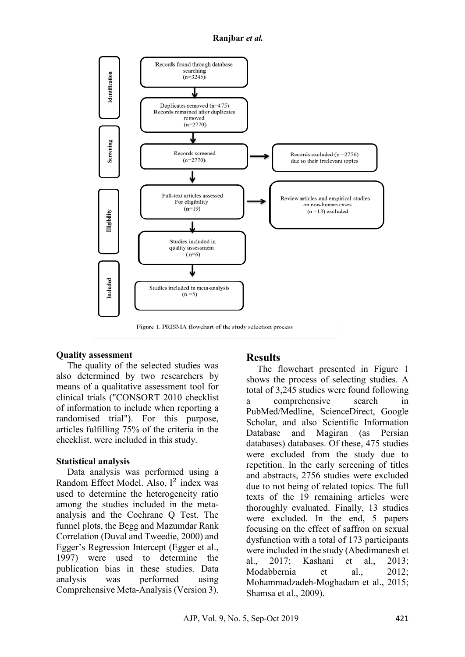#### **Ranjbar** *et al.*



### **Quality assessment**

The quality of the selected studies was also determined by two researchers by means of a qualitative assessment tool for clinical trials ("CONSORT 2010 checklist of information to include when reporting a randomised trial"). For this purpose, articles fulfilling 75% of the criteria in the checklist, were included in this study.

### **Statistical analysis**

Data analysis was performed using a Random Effect Model. Also, I 2 index was used to determine the heterogeneity ratio among the studies included in the metaanalysis and the Cochrane Q Test. The funnel plots, the Begg and Mazumdar Rank Correlation (Duval and Tweedie, 2000) and Egger's Regression Intercept (Egger et al., 1997) were used to determine the publication bias in these studies. Data analysis was performed using Comprehensive Meta-Analysis (Version 3).

## **Results**

The flowchart presented in Figure 1 shows the process of selecting studies. A total of 3,245 studies were found following a comprehensive search in PubMed/Medline, ScienceDirect, Google Scholar, and also Scientific Information Database and Magiran (as Persian databases) databases. Of these, 475 studies were excluded from the study due to repetition. In the early screening of titles and abstracts, 2756 studies were excluded due to not being of related topics. The full texts of the 19 remaining articles were thoroughly evaluated. Finally, 13 studies were excluded. In the end, 5 papers focusing on the effect of saffron on sexual dysfunction with a total of 173 participants were included in the study (Abedimanesh et al., 2017; Kashani et al., 2013; Modabbernia et al. 2012<sup>-</sup> Mohammadzadeh-Moghadam et al., 2015; Shamsa et al., 2009).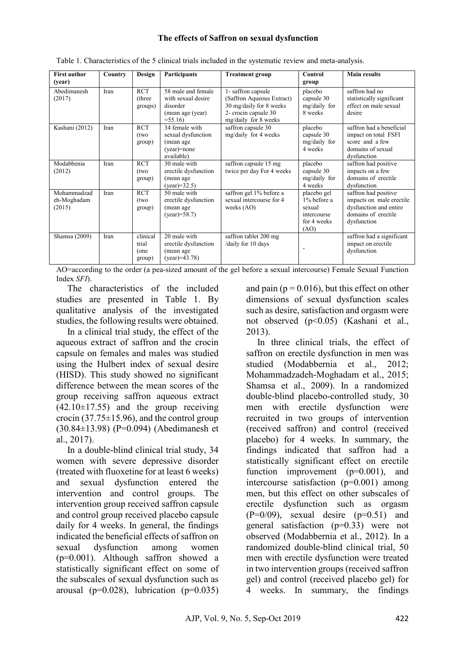#### **The effects of Saffron on sexual dysfunction**

| <b>First author</b><br>(year)        | Country | Design                              | <b>Participants</b>                                                                   | <b>Treatment group</b>                                                                                                    | Control<br>group                                                           | <b>Main results</b>                                                                                              |  |
|--------------------------------------|---------|-------------------------------------|---------------------------------------------------------------------------------------|---------------------------------------------------------------------------------------------------------------------------|----------------------------------------------------------------------------|------------------------------------------------------------------------------------------------------------------|--|
| Abedimanesh<br>(2017)                | Iran    | <b>RCT</b><br>(three)<br>groups)    | 58 male and female<br>with sexual desire<br>disorder<br>(mean age (year)<br>$= 55.16$ | 1-saffron capsule<br>(Saffron Aqueous Extract)<br>30 mg/daily for 8 weeks<br>2- crocin capsule 30<br>mg/daily for 8 weeks | placebo<br>capsule 30<br>mg/daily for<br>8 weeks                           | saffron had no<br>statistically significant<br>effect on male sexual<br>desire                                   |  |
| Kashani (2012)                       | Iran    | $\overline{RCT}$<br>(two<br>group)  | 34 female with<br>sexual dysfunction<br>(mean age<br>$(year) = none$<br>available)    | saffron capsule 30<br>mg/daily for 4 weeks                                                                                | placebo<br>capsule 30<br>mg/daily for<br>4 weeks                           | saffron had a beneficial<br>impact on total FSFI<br>score and a few<br>domains of sexual<br>dysfunction          |  |
| Modabbenia<br>(2012)                 | Iran    | <b>RCT</b><br>(two<br>group)        | 30 male with<br>erectile dysfunction<br>(mean age<br>$(year)=32.5$                    | saffron capsule 15 mg<br>twice per day For 4 weeks                                                                        | placebo<br>capsule 30<br>mg/daily for<br>4 weeks                           | saffron had positive<br>impacts on a few<br>domains of erectile<br>dysfunction                                   |  |
| Mohammadzad<br>eh-Moghadam<br>(2015) | Iran    | <b>RCT</b><br>(two<br>group)        | 50 male with<br>erectile dysfunction<br>(mean age<br>$(year)=58.7$                    | saffron gel 1% before a<br>sexual intercourse for 4<br>weeks $(AO)$                                                       | placebo gel<br>1% before a<br>sexual<br>intercourse<br>for 4 weeks<br>(AO) | saffron had positive<br>impacts on male erectile<br>dysfunction and entire<br>domains of erectile<br>dysfunction |  |
| Shamsa (2009)                        | Iran    | clinical<br>trial<br>(one<br>group) | 20 male with<br>erectile dysfunction<br>(mean age<br>$(year)=43.78$                   | saffron tablet 200 mg<br>/daily for 10 days                                                                               |                                                                            | saffron had a significant<br>impact on erectile<br>dysfunction                                                   |  |

| Table 1. Characteristics of the 5 clinical trials included in the systematic review and meta-analysis. |
|--------------------------------------------------------------------------------------------------------|
|--------------------------------------------------------------------------------------------------------|

AO=according to the order (a pea-sized amount of the gel before a sexual intercourse) Female Sexual Function Index *SFI*).

The characteristics of the included studies are presented in Table 1. By qualitative analysis of the investigated studies, the following results were obtained.

In a clinical trial study, the effect of the aqueous extract of saffron and the crocin capsule on females and males was studied using the Hulbert index of sexual desire (HISD). This study showed no significant difference between the mean scores of the group receiving saffron aqueous extract  $(42.10 \pm 17.55)$  and the group receiving crocin  $(37.75 \pm 15.96)$ , and the control group (30.84±13.98) (P=0.094) (Abedimanesh et al., 2017).

In a double-blind clinical trial study, 34 women with severe depressive disorder (treated with fluoxetine for at least 6 weeks) and sexual dysfunction entered the intervention and control groups. The intervention group received saffron capsule and control group received placebo capsule daily for 4 weeks. In general, the findings indicated the beneficial effects of saffron on sexual dysfunction among women (p=0.001). Although saffron showed a statistically significant effect on some of the subscales of sexual dysfunction such as arousal ( $p=0.028$ ), lubrication ( $p=0.035$ )

and pain ( $p = 0.016$ ), but this effect on other dimensions of sexual dysfunction scales such as desire, satisfaction and orgasm were not observed (p<0.05) (Kashani et al., 2013).

In three clinical trials, the effect of saffron on erectile dysfunction in men was studied (Modabbernia et al., 2012; Mohammadzadeh-Moghadam et al., 2015; Shamsa et al., 2009). In a randomized double-blind placebo-controlled study, 30 men with erectile dysfunction were recruited in two groups of intervention (received saffron) and control (received placebo) for 4 weeks. In summary, the findings indicated that saffron had a statistically significant effect on erectile function improvement  $(p=0.001)$ , and intercourse satisfaction (p=0.001) among men, but this effect on other subscales of erectile dysfunction such as orgasm  $(P=0/09)$ , sexual desire  $(p=0.51)$  and general satisfaction (p=0.33) were not observed (Modabbernia et al., 2012). In a randomized double-blind clinical trial, 50 men with erectile dysfunction were treated in two intervention groups (received saffron gel) and control (received placebo gel) for 4 weeks. In summary, the findings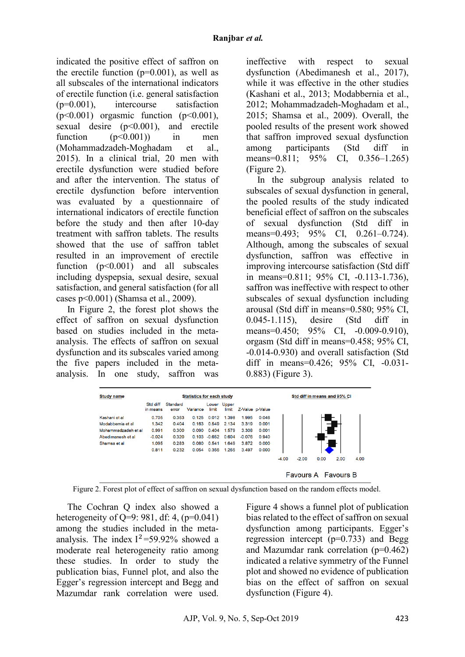indicated the positive effect of saffron on the erectile function  $(p=0.001)$ , as well as all subscales of the international indicators of erectile function (i.e. general satisfaction (p=0.001), intercourse satisfaction  $(p<0.001)$  orgasmic function  $(p<0.001)$ , sexual desire (p<0.001), and erectile function  $(p<0.001)$  in men (Mohammadzadeh-Moghadam et al., 2015). In a clinical trial, 20 men with erectile dysfunction were studied before and after the intervention. The status of erectile dysfunction before intervention was evaluated by a questionnaire of international indicators of erectile function before the study and then after 10-day treatment with saffron tablets. The results showed that the use of saffron tablet resulted in an improvement of erectile function (p<0.001) and all subscales including dyspepsia, sexual desire, sexual satisfaction, and general satisfaction (for all cases p<0.001) (Shamsa et al., 2009).

In Figure 2, the forest plot shows the effect of saffron on sexual dysfunction based on studies included in the metaanalysis. The effects of saffron on sexual dysfunction and its subscales varied among the five papers included in the metaanalysis. In one study, saffron was

ineffective with respect to sexual dysfunction (Abedimanesh et al., 2017), while it was effective in the other studies (Kashani et al., 2013; Modabbernia et al., 2012; Mohammadzadeh-Moghadam et al., 2015; Shamsa et al., 2009). Overall, the pooled results of the present work showed that saffron improved sexual dysfunction among participants (Std diff in means=0.811; 95% CI, 0.356–1.265) (Figure 2).

In the subgroup analysis related to subscales of sexual dysfunction in general, the pooled results of the study indicated beneficial effect of saffron on the subscales of sexual dysfunction (Std diff in means=0.493; 95% CI, 0.261–0.724). Although, among the subscales of sexual dysfunction, saffron was effective in improving intercourse satisfaction (Std diff in means=0.811; 95% CI, -0.113-1.736), saffron was ineffective with respect to other subscales of sexual dysfunction including arousal (Std diff in means=0.580; 95% CI, 0.045-1.115), desire (Std diff in means=0.450; 95% CI, -0.009-0.910). orgasm (Std diff in means=0.458; 95% CI, -0.014-0.930) and overall satisfaction (Std diff in means=0.426; 95% CI, -0.031-0.883) (Figure 3).



Figure 2. Forest plot of effect of saffron on sexual dysfunction based on the random effects model.

The Cochran Q index also showed a heterogeneity of O=9: 981, df: 4, (p=0.041) among the studies included in the metaanalysis. The index  $I^2 = 59.92\%$  showed a moderate real heterogeneity ratio among these studies. In order to study the publication bias, Funnel plot, and also the Egger's regression intercept and Begg and Mazumdar rank correlation were used.

Figure 4 shows a funnel plot of publication bias related to the effect of saffron on sexual dysfunction among participants. Egger's regression intercept  $(p=0.733)$  and Begg and Mazumdar rank correlation (p=0.462) indicated a relative symmetry of the Funnel plot and showed no evidence of publication bias on the effect of saffron on sexual dysfunction (Figure 4).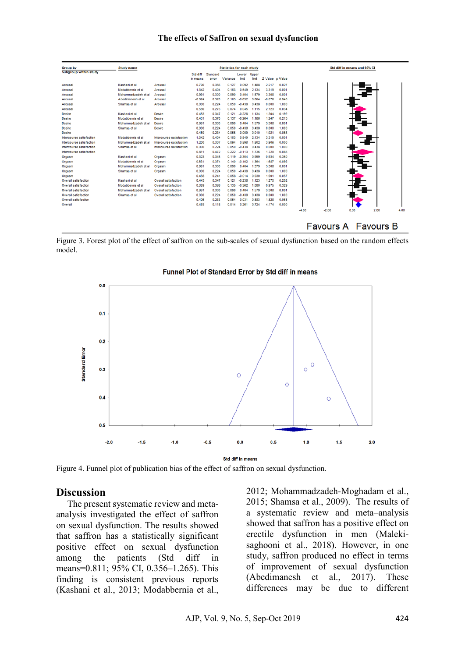#### **The effects of Saffron on sexual dysfunction**

| <b>Group by</b>              | <b>Statistics for each study</b><br><b>Study name</b> |                             |          |          |          |          |       |                 |       | Std diff in means and 95% CI |         |                            |      |      |
|------------------------------|-------------------------------------------------------|-----------------------------|----------|----------|----------|----------|-------|-----------------|-------|------------------------------|---------|----------------------------|------|------|
| <b>Subgroup within study</b> |                                                       |                             | Std diff | Standard |          | Lower    | Upper |                 |       |                              |         |                            |      |      |
|                              |                                                       |                             | in means | error    | Variance | limit    | limit | Z-Value p-Value |       |                              |         |                            |      |      |
| Arousal                      | Kashani et al                                         | Arousal                     | 0.790    | 0.356    | 0.127    | 0.092    | 1.488 | 2.217           | 0.027 |                              |         |                            |      |      |
| Arousal                      | Modabbernia et al                                     | Arousal                     | 1.342    | 0.404    | 0.163    | 0.549    | 2.134 | 3.319           | 0.001 |                              |         |                            |      |      |
| Arousal                      | Mohammadzadeh et al                                   | Arousal                     | 0.991    | 0.300    | 0.090    | 0.404    | 1.579 | 3.308           | 0.001 |                              |         |                            |      |      |
| Arousal                      | Abedimanesh et al.                                    | Arousal                     | $-0.024$ | 0.320    | 0.103    | $-0.652$ | 0.604 | $-0.076$        | 0.940 |                              |         |                            |      |      |
| Arousal                      | Shamsa et al                                          | Arousal                     | 0.000    | 0.224    | 0.050    | $-0.438$ | 0.438 | 0.000           | 1.000 |                              |         |                            |      |      |
| Arousal                      |                                                       |                             | 0.580    | 0.273    | 0.074    | 0.045    | 1.115 | 2.123           | 0.034 |                              |         |                            |      |      |
| <b>Desire</b>                | Kashani et al                                         | <b>Desire</b>               | 0.453    | 0.347    | 0.121    | $-0.228$ | 1.134 | 1.304           | 0.192 |                              |         |                            |      |      |
| Desire                       | Modabbernia et al                                     | <b>Desire</b>               | 0.461    | 0.370    | 0.137    | $-0.264$ | 1.186 | 1.247           | 0.213 |                              |         |                            |      |      |
| <b>Desire</b>                | Mohammadzadeh et al                                   | <b>Desire</b>               | 0.991    | 0.300    | 0.090    | 0.404    | 1.579 | 3.308           | 0.001 |                              |         |                            |      |      |
| Desire                       | Shamsa et al                                          | Desire                      | 0.000    | 0.224    | 0.050    | $-0.438$ | 0.438 | 0.000           | 1.000 |                              |         |                            |      |      |
| Desire                       |                                                       |                             | 0.450    | 0.234    | 0.055    | $-0.009$ | 0.910 | 1.921           | 0.055 |                              |         |                            |      |      |
| Intercourse satisfaction     | Modabbernia et al                                     | Intercourse satisfaction    | 1.342    | 0.404    | 0.163    | 0.549    | 2.134 | 3.319           | 0.001 |                              |         |                            |      |      |
| Intercourse satisfaction     | Mohammadzadeh et al                                   | Intercourse satisfaction    | 1.200    | 0.307    | 0.094    | 0.598    | 1.802 | 3.906           | 0.000 |                              |         |                            |      |      |
| Intercourse satisfaction     | Shamsa et al                                          | Intercourse satisfaction    | 0.000    | 0.224    | 0.050    | $-0.438$ | 0.438 | 0.000           | 1.000 |                              |         |                            |      |      |
| Intercourse satisfaction     |                                                       |                             | 0.811    | 0.472    | 0.222    | $-0.113$ | 1.736 | 1.720           | 0.085 |                              |         |                            |      |      |
| Orgasm                       | Kashani et al                                         | Orgasm                      | 0.323    | 0.345    | 0.119    | $-0.354$ | 0.999 | 0.934           | 0.350 |                              |         |                            |      |      |
| Orgasm                       | Modabbernia et al                                     | Orgasm                      | 0.631    | 0.374    | 0.140    | $-0.102$ | 1.364 | 1.687           | 0.092 |                              |         |                            |      |      |
| Orgasm                       | Mohammadzadeh et al                                   | Orgasm                      | 0.991    | 0.300    | 0.090    | 0.404    | 1.579 | 3.308           | 0.001 |                              |         |                            |      |      |
| Orgasm                       | Shamsa et al                                          | Orgasm                      | 0.000    | 0.224    | 0.050    | $-0.438$ | 0.438 | 0.000           | 1.000 |                              |         |                            |      |      |
| Orgasm                       |                                                       |                             | 0.458    | 0.241    | 0.058    | $-0.014$ | 0.930 | 1.901           | 0.057 |                              |         |                            |      |      |
| Overall satisfaction         | Kashani et al                                         | <b>Overall satisfaction</b> | 0.443    | 0.347    | 0.121    | -0.238   | 1.123 | 1.275           | 0.202 |                              |         |                            |      |      |
| <b>Overall satisfaction</b>  | Modabbernia et al                                     | <b>Overall satisfaction</b> | 0.359    | 0.368    | 0.135    | $-0.362$ | 1.080 | 0.975           | 0.329 |                              |         |                            |      |      |
| Overall satisfaction         | Mohammadzadeh et al                                   | Overall satisfaction        | 0.991    | 0.300    | 0.090    | 0.404    | 1.579 | 3.308           | 0.001 |                              |         |                            |      |      |
| Overall satisfaction         | Shamsa et al                                          | Overall satisfaction        | 0.000    | 0.224    | 0.050    | $-0.438$ | 0.438 | 0.000           | 1.000 |                              |         |                            |      |      |
| Overall satisfaction         |                                                       |                             | 0.426    | 0.233    | 0.054    | $-0.031$ | 0.883 | 1.828           | 0.068 |                              |         |                            |      |      |
| Overall                      |                                                       |                             | 0.493    | 0.118    | 0.014    | 0.261    | 0.724 | 4.174           | 0.000 |                              |         |                            |      |      |
|                              |                                                       |                             |          |          |          |          |       |                 |       | $-4.00$                      | $-2.00$ | 0.00                       | 2.00 | 4.00 |
|                              |                                                       |                             |          |          |          |          |       |                 |       |                              |         |                            |      |      |
|                              |                                                       |                             |          |          |          |          |       |                 |       |                              |         |                            |      |      |
|                              |                                                       |                             |          |          |          |          |       |                 |       |                              |         | <b>Favours A</b> Favours B |      |      |
|                              |                                                       |                             |          |          |          |          |       |                 |       |                              |         |                            |      |      |

Figure 3. Forest plot of the effect of saffron on the sub-scales of sexual dysfunction based on the random effects model.



#### **Funnel Plot of Standard Error by Std diff in means**

Figure 4. Funnel plot of publication bias of the effect of saffron on sexual dysfunction.

### **Discussion**

The present systematic review and metaanalysis investigated the effect of saffron on sexual dysfunction. The results showed that saffron has a statistically significant positive effect on sexual dysfunction among the patients (Std diff in means=0.811; 95% CI, 0.356–1.265). This finding is consistent previous reports (Kashani et al., 2013; Modabbernia et al., 2012; Mohammadzadeh-Moghadam et al., 2015; Shamsa et al., 2009). The results of a systematic review and meta–analysis showed that saffron has a positive effect on erectile dysfunction in men (Malekisaghooni et al., 2018). However, in one study, saffron produced no effect in terms of improvement of sexual dysfunction (Abedimanesh et al., 2017). These differences may be due to different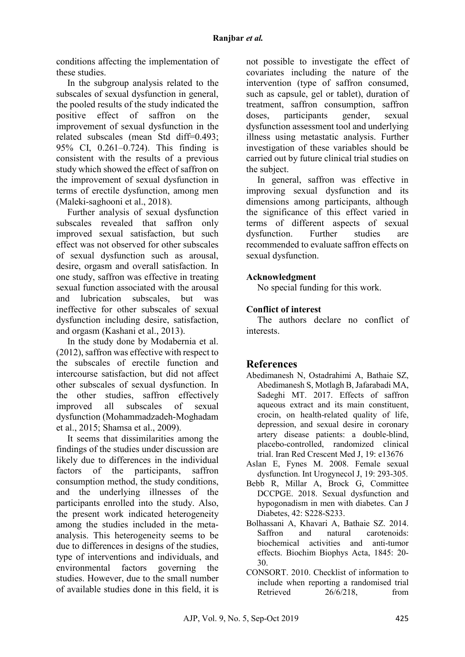conditions affecting the implementation of these studies.

In the subgroup analysis related to the subscales of sexual dysfunction in general, the pooled results of the study indicated the positive effect of saffron on the improvement of sexual dysfunction in the related subscales (mean Std diff=0.493; 95% CI, 0.261–0.724). This finding is consistent with the results of a previous study which showed the effect of saffron on the improvement of sexual dysfunction in terms of erectile dysfunction, among men (Maleki-saghooni et al., 2018).

Further analysis of sexual dysfunction subscales revealed that saffron only improved sexual satisfaction, but such effect was not observed for other subscales of sexual dysfunction such as arousal, desire, orgasm and overall satisfaction. In one study, saffron was effective in treating sexual function associated with the arousal and lubrication subscales, but was ineffective for other subscales of sexual dysfunction including desire, satisfaction, and orgasm (Kashani et al., 2013).

In the study done by Modabernia et al. (2012), saffron was effective with respect to the subscales of erectile function and intercourse satisfaction, but did not affect other subscales of sexual dysfunction. In the other studies, saffron effectively improved all subscales of sexual dysfunction (Mohammadzadeh-Moghadam et al., 2015; Shamsa et al., 2009).

It seems that dissimilarities among the findings of the studies under discussion are likely due to differences in the individual factors of the participants, saffron consumption method, the study conditions, and the underlying illnesses of the participants enrolled into the study. Also, the present work indicated heterogeneity among the studies included in the metaanalysis. This heterogeneity seems to be due to differences in designs of the studies, type of interventions and individuals, and environmental factors governing the studies. However, due to the small number of available studies done in this field, it is

not possible to investigate the effect of covariates including the nature of the intervention (type of saffron consumed, such as capsule, gel or tablet), duration of treatment, saffron consumption, saffron doses, participants gender, sexual dysfunction assessment tool and underlying illness using metastatic analysis. Further investigation of these variables should be carried out by future clinical trial studies on the subject.

In general, saffron was effective in improving sexual dysfunction and its dimensions among participants, although the significance of this effect varied in terms of different aspects of sexual dysfunction. Further studies are recommended to evaluate saffron effects on sexual dysfunction.

# **Acknowledgment**

No special funding for this work.

## **Conflict of interest**

The authors declare no conflict of interests.

# **References**

- Abedimanesh N, Ostadrahimi A, Bathaie SZ, Abedimanesh S, Motlagh B, Jafarabadi MA, Sadeghi MT. 2017. Effects of saffron aqueous extract and its main constituent, crocin, on health-related quality of life, depression, and sexual desire in coronary artery disease patients: a double-blind, placebo-controlled, randomized clinical trial. Iran Red Crescent Med J, 19: e13676
- Aslan E, Fynes M. 2008. Female sexual dysfunction. Int Urogynecol J, 19: 293-305.
- Bebb R, Millar A, Brock G, Committee DCCPGE. 2018. Sexual dysfunction and hypogonadism in men with diabetes. Can J Diabetes, 42: S228-S233.
- Bolhassani A, Khavari A, Bathaie SZ. 2014. Saffron and natural carotenoids: biochemical activities and anti-tumor effects. Biochim Biophys Acta, 1845: 20- 30.
- CONSORT. 2010. Checklist of information to include when reporting a randomised trial Retrieved 26/6/218, from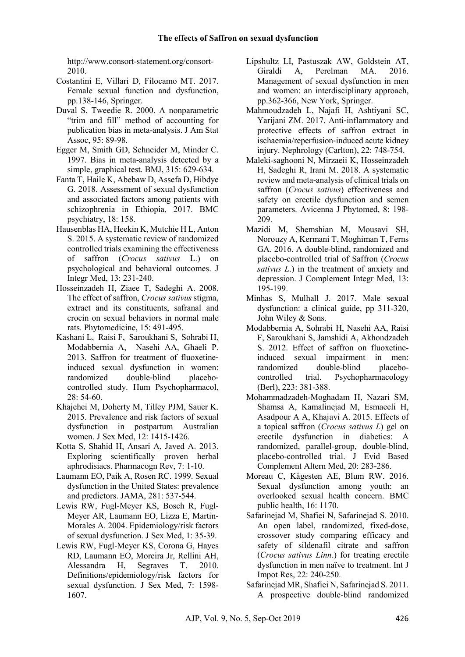http://www.consort-statement.org/consort-2010.

- Costantini E, Villari D, Filocamo MT. 2017. Female sexual function and dysfunction, pp.138-146, Springer.
- Duval S, Tweedie R. 2000. A nonparametric "trim and fill" method of accounting for publication bias in meta-analysis. J Am Stat Assoc, 95: 89-98.
- Egger M, Smith GD, Schneider M, Minder C. 1997. Bias in meta-analysis detected by a simple, graphical test. BMJ, 315: 629-634.
- Fanta T, Haile K, Abebaw D, Assefa D, Hibdye G. 2018. Assessment of sexual dysfunction and associated factors among patients with schizophrenia in Ethiopia, 2017. BMC psychiatry, 18: 158.
- Hausenblas HA, Heekin K, Mutchie H L, Anton S. 2015. A systematic review of randomized controlled trials examining the effectiveness of saffron (*Crocus sativus* L.) on psychological and behavioral outcomes. J Integr Med, 13: 231-240.
- Hosseinzadeh H, Ziaee T, Sadeghi A. 2008. The effect of saffron, *Crocus sativus* stigma, extract and its constituents, safranal and crocin on sexual behaviors in normal male rats. Phytomedicine, 15: 491-495.
- Kashani L, Raisi F, Saroukhani S, Sohrabi H, Modabbernia A, Nasehi AA, Ghaeli P. 2013. Saffron for treatment of fluoxetine‐ induced sexual dysfunction in women:<br>randomized double-blind placeborandomized double-blind controlled study. Hum Psychopharmacol, 28: 54-60.
- Khajehei M, Doherty M, Tilley PJM, Sauer K. 2015. Prevalence and risk factors of sexual dysfunction in postpartum Australian women. J Sex Med, 12: 1415-1426.
- Kotta S, Shahid H, Ansari A, Javed A. 2013. Exploring scientifically proven herbal aphrodisiacs. Pharmacogn Rev, 7: 1-10.
- Laumann EO, Paik A, Rosen RC. 1999. Sexual dysfunction in the United States: prevalence and predictors. JAMA, 281: 537-544.
- Lewis RW, Fugl-Meyer KS, Bosch R, Fugl-Meyer AR, Laumann EO, Lizza E, Martin‐ Morales A. 2004. Epidemiology/risk factors of sexual dysfunction. J Sex Med, 1: 35-39.
- Lewis RW, Fugl‐Meyer KS, Corona G, Hayes RD, Laumann EO, Moreira Jr, Rellini AH, Alessandra H, Segraves T. 2010. Definitions/epidemiology/risk factors for sexual dysfunction. J Sex Med, 7: 1598- 1607.
- Lipshultz LI, Pastuszak AW, Goldstein AT, Giraldi A, Perelman MA. 2016. Management of sexual dysfunction in men and women: an interdisciplinary approach, pp.362-366, New York, Springer.
- Mahmoudzadeh L, Najafi H, Ashtiyani SC, Yarijani ZM. 2017. Anti‐inflammatory and protective effects of saffron extract in ischaemia/reperfusion‐induced acute kidney injury. Nephrology (Carlton), 22: 748-754.
- Maleki-saghooni N, Mirzaeii K, Hosseinzadeh H, Sadeghi R, Irani M. 2018. A systematic review and meta-analysis of clinical trials on saffron (*Crocus sativus*) effectiveness and safety on erectile dysfunction and semen parameters. Avicenna J Phytomed, 8: 198- 209.
- Mazidi M, Shemshian M, Mousavi SH, Norouzy A, Kermani T, Moghiman T, Ferns GA. 2016. A double-blind, randomized and placebo-controlled trial of Saffron (*Crocus sativus L*.) in the treatment of anxiety and depression. J Complement Integr Med, 13: 195-199.
- Minhas S, Mulhall J. 2017. Male sexual dysfunction: a clinical guide, pp 311-320, John Wiley & Sons.
- Modabbernia A, Sohrabi H, Nasehi AA, Raisi F, Saroukhani S, Jamshidi A, Akhondzadeh S. 2012. Effect of saffron on fluoxetineinduced sexual impairment in men: randomized double-blind placebocontrolled trial. Psychopharmacology (Berl), 223: 381-388.
- Mohammadzadeh-Moghadam H, Nazari SM, Shamsa A, Kamalinejad M, Esmaeeli H, Asadpour A A, Khajavi A. 2015. Effects of a topical saffron (*Crocus sativus L*) gel on erectile dysfunction in diabetics: A randomized, parallel-group, double-blind, placebo-controlled trial. J Evid Based Complement Altern Med, 20: 283-286.
- Moreau C, Kågesten AE, Blum RW. 2016. Sexual dysfunction among youth: an overlooked sexual health concern. BMC public health, 16: 1170.
- Safarinejad M, Shafiei N, Safarinejad S. 2010. An open label, randomized, fixed-dose, crossover study comparing efficacy and safety of sildenafil citrate and saffron (*Crocus sativus Linn*.) for treating erectile dysfunction in men naïve to treatment. Int J Impot Res, 22: 240-250.
- Safarinejad MR, Shafiei N, Safarinejad S. 2011. A prospective double‐blind randomized